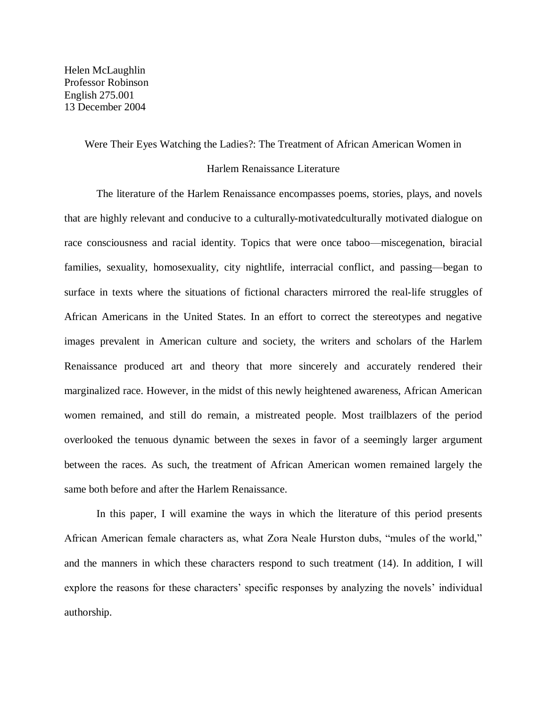Helen McLaughlin Professor Robinson English 275.001 13 December 2004

## Were Their Eyes Watching the Ladies?: The Treatment of African American Women in

## Harlem Renaissance Literature

The literature of the Harlem Renaissance encompasses poems, stories, plays, and novels that are highly relevant and conducive to a culturally-motivated culturally motivated dialogue on race consciousness and racial identity. Topics that were once taboo—miscegenation, biracial families, sexuality, homosexuality, city nightlife, interracial conflict, and passing—began to surface in texts where the situations of fictional characters mirrored the real-life struggles of African Americans in the United States. In an effort to correct the stereotypes and negative images prevalent in American culture and society, the writers and scholars of the Harlem Renaissance produced art and theory that more sincerely and accurately rendered their marginalized race. However, in the midst of this newly heightened awareness, African American women remained, and still do remain, a mistreated people. Most trailblazers of the period overlooked the tenuous dynamic between the sexes in favor of a seemingly larger argument between the races. As such, the treatment of African American women remained largely the same both before and after the Harlem Renaissance.

In this paper, I will examine the ways in which the literature of this period presents African American female characters as, what Zora Neale Hurston dubs, "mules of the world," and the manners in which these characters respond to such treatment (14). In addition, I will explore the reasons for these characters' specific responses by analyzing the novels' individual authorship.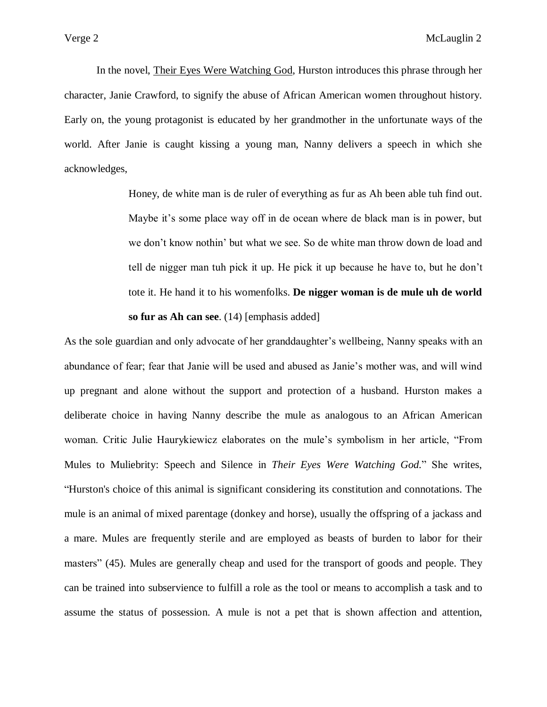In the novel, Their Eyes Were Watching God, Hurston introduces this phrase through her character, Janie Crawford, to signify the abuse of African American women throughout history. Early on, the young protagonist is educated by her grandmother in the unfortunate ways of the world. After Janie is caught kissing a young man, Nanny delivers a speech in which she acknowledges,

> Honey, de white man is de ruler of everything as fur as Ah been able tuh find out. Maybe it's some place way off in de ocean where de black man is in power, but we don't know nothin' but what we see. So de white man throw down de load and tell de nigger man tuh pick it up. He pick it up because he have to, but he don't tote it. He hand it to his womenfolks. **De nigger woman is de mule uh de world so fur as Ah can see**. (14) [emphasis added]

As the sole guardian and only advocate of her granddaughter's wellbeing, Nanny speaks with an abundance of fear; fear that Janie will be used and abused as Janie's mother was, and will wind up pregnant and alone without the support and protection of a husband. Hurston makes a deliberate choice in having Nanny describe the mule as analogous to an African American woman. Critic Julie Haurykiewicz elaborates on the mule's symbolism in her article, "From Mules to Muliebrity: Speech and Silence in *Their Eyes Were Watching God.*" She writes, "Hurston's choice of this animal is significant considering its constitution and connotations. The mule is an animal of mixed parentage (donkey and horse), usually the offspring of a jackass and a mare. Mules are frequently sterile and are employed as beasts of burden to labor for their masters" (45). Mules are generally cheap and used for the transport of goods and people. They can be trained into subservience to fulfill a role as the tool or means to accomplish a task and to assume the status of possession. A mule is not a pet that is shown affection and attention,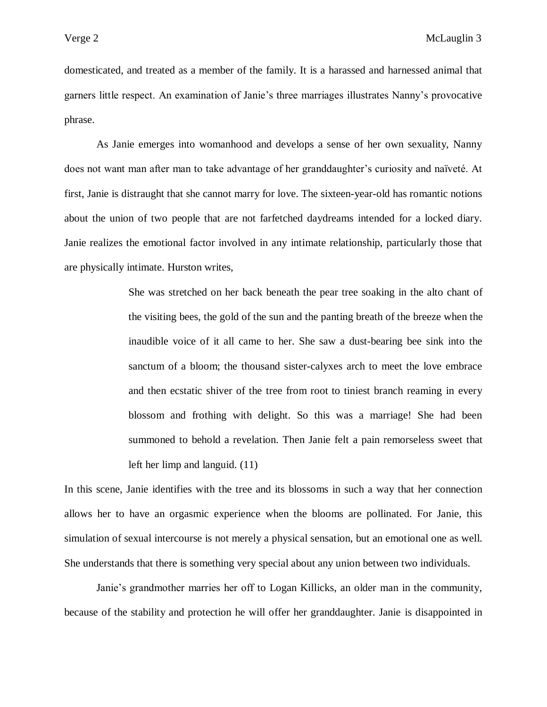domesticated, and treated as a member of the family. It is a harassed and harnessed animal that garners little respect. An examination of Janie's three marriages illustrates Nanny's provocative phrase.

As Janie emerges into womanhood and develops a sense of her own sexuality, Nanny does not want man after man to take advantage of her granddaughter's curiosity and naïveté. At first, Janie is distraught that she cannot marry for love. The sixteen-year-old has romantic notions about the union of two people that are not farfetched daydreams intended for a locked diary. Janie realizes the emotional factor involved in any intimate relationship, particularly those that are physically intimate. Hurston writes,

> She was stretched on her back beneath the pear tree soaking in the alto chant of the visiting bees, the gold of the sun and the panting breath of the breeze when the inaudible voice of it all came to her. She saw a dust-bearing bee sink into the sanctum of a bloom; the thousand sister-calyxes arch to meet the love embrace and then ecstatic shiver of the tree from root to tiniest branch reaming in every blossom and frothing with delight. So this was a marriage! She had been summoned to behold a revelation. Then Janie felt a pain remorseless sweet that left her limp and languid. (11)

In this scene, Janie identifies with the tree and its blossoms in such a way that her connection allows her to have an orgasmic experience when the blooms are pollinated. For Janie, this simulation of sexual intercourse is not merely a physical sensation, but an emotional one as well. She understands that there is something very special about any union between two individuals.

Janie's grandmother marries her off to Logan Killicks, an older man in the community, because of the stability and protection he will offer her granddaughter. Janie is disappointed in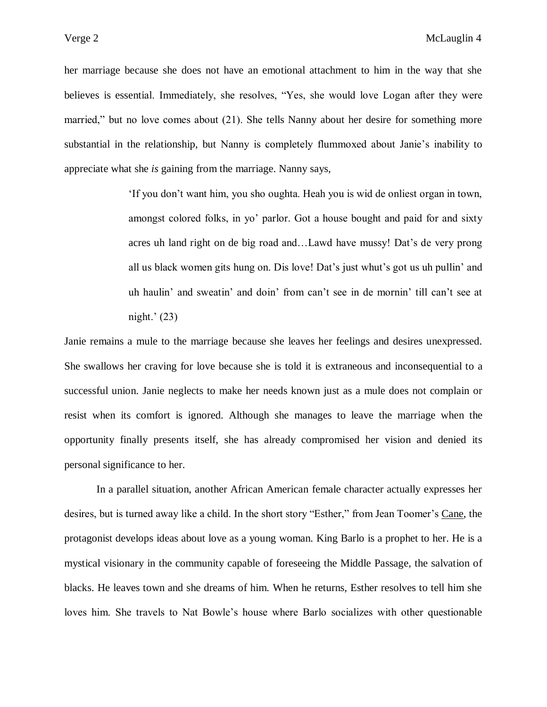her marriage because she does not have an emotional attachment to him in the way that she believes is essential. Immediately, she resolves, "Yes, she would love Logan after they were married," but no love comes about (21). She tells Nanny about her desire for something more substantial in the relationship, but Nanny is completely flummoxed about Janie's inability to appreciate what she *is* gaining from the marriage. Nanny says,

> 'If you don't want him, you sho oughta. Heah you is wid de onliest organ in town, amongst colored folks, in yo' parlor. Got a house bought and paid for and sixty acres uh land right on de big road and…Lawd have mussy! Dat's de very prong all us black women gits hung on. Dis love! Dat's just whut's got us uh pullin' and uh haulin' and sweatin' and doin' from can't see in de mornin' till can't see at night.' (23)

Janie remains a mule to the marriage because she leaves her feelings and desires unexpressed. She swallows her craving for love because she is told it is extraneous and inconsequential to a successful union. Janie neglects to make her needs known just as a mule does not complain or resist when its comfort is ignored. Although she manages to leave the marriage when the opportunity finally presents itself, she has already compromised her vision and denied its personal significance to her.

In a parallel situation, another African American female character actually expresses her desires, but is turned away like a child. In the short story "Esther," from Jean Toomer's Cane, the protagonist develops ideas about love as a young woman. King Barlo is a prophet to her. He is a mystical visionary in the community capable of foreseeing the Middle Passage, the salvation of blacks. He leaves town and she dreams of him. When he returns, Esther resolves to tell him she loves him. She travels to Nat Bowle's house where Barlo socializes with other questionable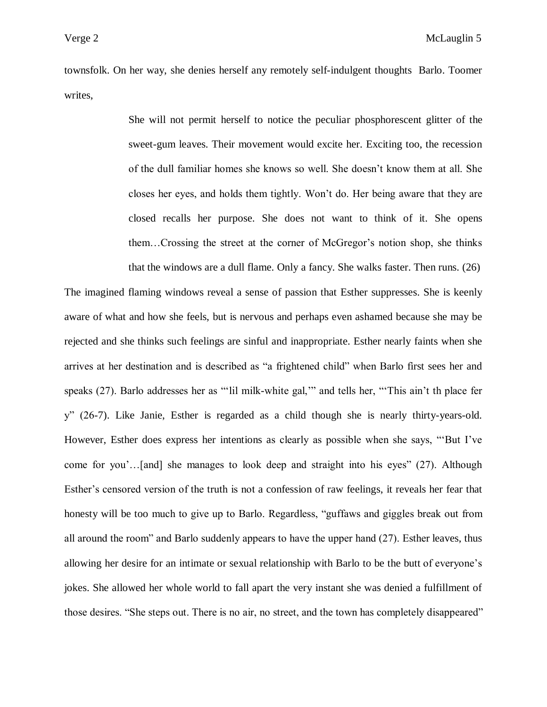townsfolk. On her way, she denies herself any remotely self-indulgent thoughts Barlo. Toomer writes,

> She will not permit herself to notice the peculiar phosphorescent glitter of the sweet-gum leaves. Their movement would excite her. Exciting too, the recession of the dull familiar homes she knows so well. She doesn't know them at all. She closes her eyes, and holds them tightly. Won't do. Her being aware that they are closed recalls her purpose. She does not want to think of it. She opens them…Crossing the street at the corner of McGregor's notion shop, she thinks that the windows are a dull flame. Only a fancy. She walks faster. Then runs. (26)

The imagined flaming windows reveal a sense of passion that Esther suppresses. She is keenly aware of what and how she feels, but is nervous and perhaps even ashamed because she may be rejected and she thinks such feelings are sinful and inappropriate. Esther nearly faints when she arrives at her destination and is described as "a frightened child" when Barlo first sees her and speaks (27). Barlo addresses her as "'lil milk-white gal,'" and tells her, "'This ain't th place fer y" (26-7). Like Janie, Esther is regarded as a child though she is nearly thirty-years-old. However, Esther does express her intentions as clearly as possible when she says, "'But I've come for you'…[and] she manages to look deep and straight into his eyes" (27). Although Esther's censored version of the truth is not a confession of raw feelings, it reveals her fear that honesty will be too much to give up to Barlo. Regardless, "guffaws and giggles break out from all around the room" and Barlo suddenly appears to have the upper hand (27). Esther leaves, thus allowing her desire for an intimate or sexual relationship with Barlo to be the butt of everyone's jokes. She allowed her whole world to fall apart the very instant she was denied a fulfillment of those desires. "She steps out. There is no air, no street, and the town has completely disappeared"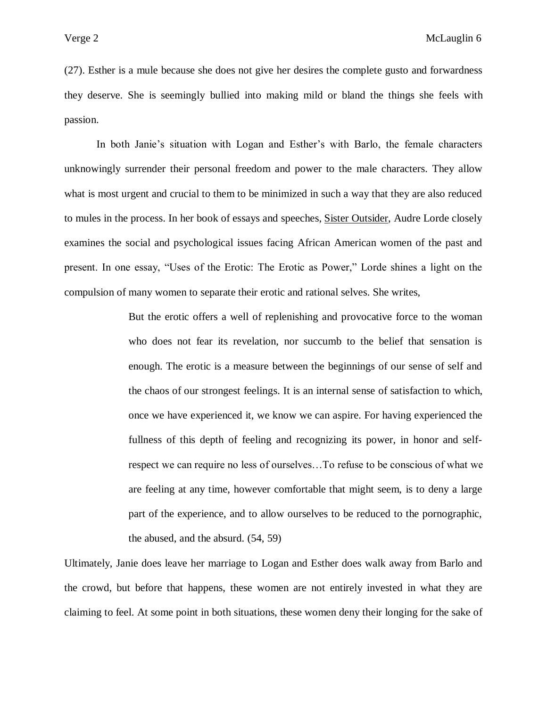(27). Esther is a mule because she does not give her desires the complete gusto and forwardness they deserve. She is seemingly bullied into making mild or bland the things she feels with passion.

In both Janie's situation with Logan and Esther's with Barlo, the female characters unknowingly surrender their personal freedom and power to the male characters. They allow what is most urgent and crucial to them to be minimized in such a way that they are also reduced to mules in the process. In her book of essays and speeches, Sister Outsider, Audre Lorde closely examines the social and psychological issues facing African American women of the past and present. In one essay, "Uses of the Erotic: The Erotic as Power," Lorde shines a light on the compulsion of many women to separate their erotic and rational selves. She writes,

> But the erotic offers a well of replenishing and provocative force to the woman who does not fear its revelation, nor succumb to the belief that sensation is enough. The erotic is a measure between the beginnings of our sense of self and the chaos of our strongest feelings. It is an internal sense of satisfaction to which, once we have experienced it, we know we can aspire. For having experienced the fullness of this depth of feeling and recognizing its power, in honor and selfrespect we can require no less of ourselves…To refuse to be conscious of what we are feeling at any time, however comfortable that might seem, is to deny a large part of the experience, and to allow ourselves to be reduced to the pornographic, the abused, and the absurd. (54, 59)

Ultimately, Janie does leave her marriage to Logan and Esther does walk away from Barlo and the crowd, but before that happens, these women are not entirely invested in what they are claiming to feel. At some point in both situations, these women deny their longing for the sake of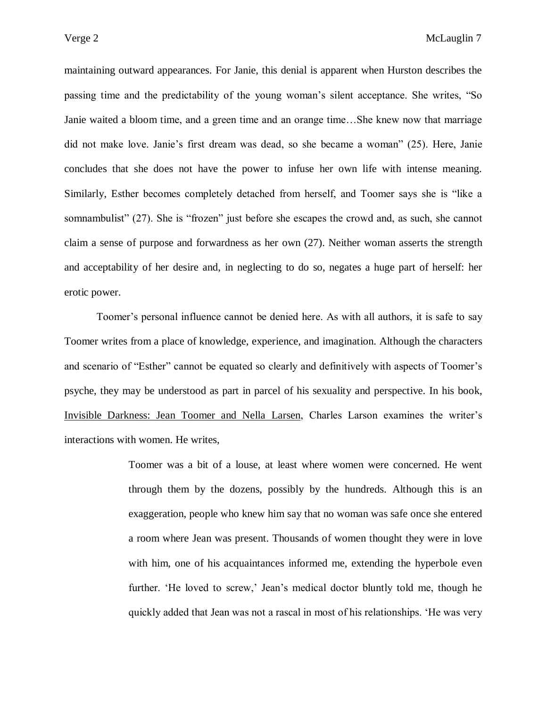maintaining outward appearances. For Janie, this denial is apparent when Hurston describes the passing time and the predictability of the young woman's silent acceptance. She writes, "So Janie waited a bloom time, and a green time and an orange time…She knew now that marriage did not make love. Janie's first dream was dead, so she became a woman" (25). Here, Janie concludes that she does not have the power to infuse her own life with intense meaning. Similarly, Esther becomes completely detached from herself, and Toomer says she is "like a somnambulist" (27). She is "frozen" just before she escapes the crowd and, as such, she cannot claim a sense of purpose and forwardness as her own (27). Neither woman asserts the strength and acceptability of her desire and, in neglecting to do so, negates a huge part of herself: her erotic power.

Toomer's personal influence cannot be denied here. As with all authors, it is safe to say Toomer writes from a place of knowledge, experience, and imagination. Although the characters and scenario of "Esther" cannot be equated so clearly and definitively with aspects of Toomer's psyche, they may be understood as part in parcel of his sexuality and perspective. In his book, Invisible Darkness: Jean Toomer and Nella Larsen, Charles Larson examines the writer's interactions with women. He writes,

> Toomer was a bit of a louse, at least where women were concerned. He went through them by the dozens, possibly by the hundreds. Although this is an exaggeration, people who knew him say that no woman was safe once she entered a room where Jean was present. Thousands of women thought they were in love with him, one of his acquaintances informed me, extending the hyperbole even further. 'He loved to screw,' Jean's medical doctor bluntly told me, though he quickly added that Jean was not a rascal in most of his relationships. 'He was very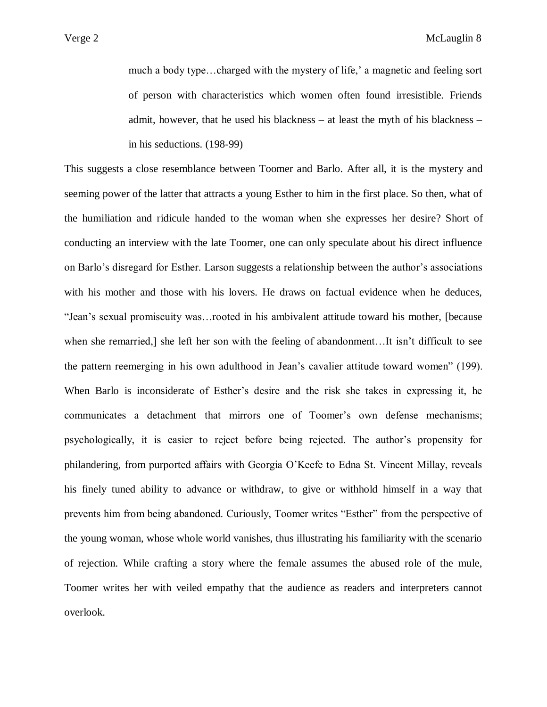much a body type…charged with the mystery of life,' a magnetic and feeling sort of person with characteristics which women often found irresistible. Friends admit, however, that he used his blackness – at least the myth of his blackness – in his seductions. (198-99)

This suggests a close resemblance between Toomer and Barlo. After all, it is the mystery and seeming power of the latter that attracts a young Esther to him in the first place. So then, what of the humiliation and ridicule handed to the woman when she expresses her desire? Short of conducting an interview with the late Toomer, one can only speculate about his direct influence on Barlo's disregard for Esther. Larson suggests a relationship between the author's associations with his mother and those with his lovers. He draws on factual evidence when he deduces, "Jean's sexual promiscuity was…rooted in his ambivalent attitude toward his mother, [because when she remarried,] she left her son with the feeling of abandonment…It isn't difficult to see the pattern reemerging in his own adulthood in Jean's cavalier attitude toward women" (199). When Barlo is inconsiderate of Esther's desire and the risk she takes in expressing it, he communicates a detachment that mirrors one of Toomer's own defense mechanisms; psychologically, it is easier to reject before being rejected. The author's propensity for philandering, from purported affairs with Georgia O'Keefe to Edna St. Vincent Millay, reveals his finely tuned ability to advance or withdraw, to give or withhold himself in a way that prevents him from being abandoned. Curiously, Toomer writes "Esther" from the perspective of the young woman, whose whole world vanishes, thus illustrating his familiarity with the scenario of rejection. While crafting a story where the female assumes the abused role of the mule, Toomer writes her with veiled empathy that the audience as readers and interpreters cannot overlook.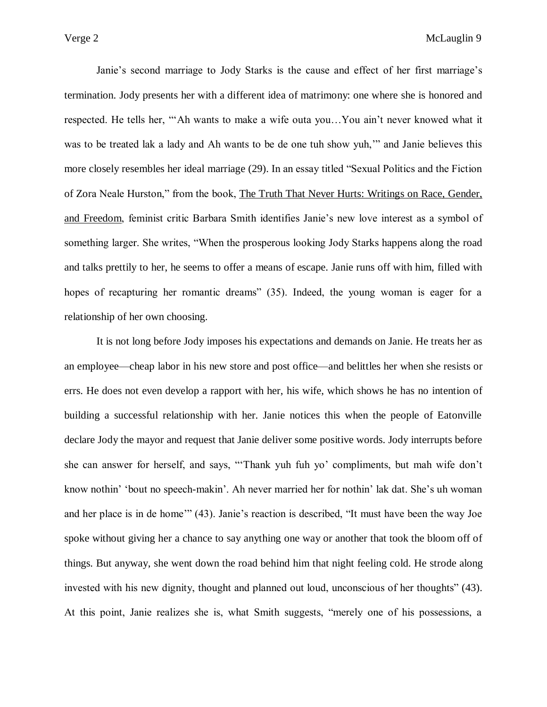Janie's second marriage to Jody Starks is the cause and effect of her first marriage's termination. Jody presents her with a different idea of matrimony: one where she is honored and respected. He tells her, "'Ah wants to make a wife outa you…You ain't never knowed what it was to be treated lak a lady and Ah wants to be de one tuh show yuh," and Janie believes this more closely resembles her ideal marriage (29). In an essay titled "Sexual Politics and the Fiction of Zora Neale Hurston," from the book, The Truth That Never Hurts: Writings on Race, Gender, and Freedom, feminist critic Barbara Smith identifies Janie's new love interest as a symbol of something larger. She writes, "When the prosperous looking Jody Starks happens along the road and talks prettily to her, he seems to offer a means of escape. Janie runs off with him, filled with hopes of recapturing her romantic dreams" (35). Indeed, the young woman is eager for a relationship of her own choosing.

It is not long before Jody imposes his expectations and demands on Janie. He treats her as an employee—cheap labor in his new store and post office—and belittles her when she resists or errs. He does not even develop a rapport with her, his wife, which shows he has no intention of building a successful relationship with her. Janie notices this when the people of Eatonville declare Jody the mayor and request that Janie deliver some positive words. Jody interrupts before she can answer for herself, and says, "'Thank yuh fuh yo' compliments, but mah wife don't know nothin' 'bout no speech-makin'. Ah never married her for nothin' lak dat. She's uh woman and her place is in de home'" (43). Janie's reaction is described, "It must have been the way Joe spoke without giving her a chance to say anything one way or another that took the bloom off of things. But anyway, she went down the road behind him that night feeling cold. He strode along invested with his new dignity, thought and planned out loud, unconscious of her thoughts" (43). At this point, Janie realizes she is, what Smith suggests, "merely one of his possessions, a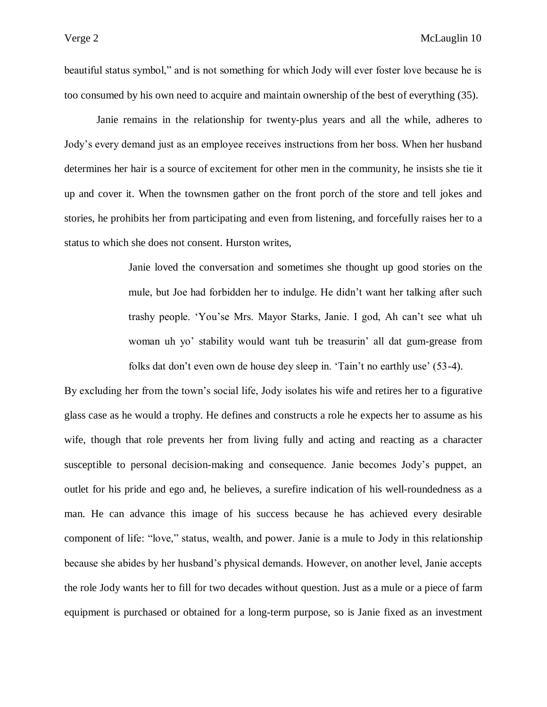beautiful status symbol," and is not something for which Jody will ever foster love because he is too consumed by his own need to acquire and maintain ownership of the best of everything (35).

Janie remains in the relationship for twenty-plus years and all the while, adheres to Jody's every demand just as an employee receives instructions from her boss. When her husband determines her hair is a source of excitement for other men in the community, he insists she tie it up and cover it. When the townsmen gather on the front porch of the store and tell jokes and stories, he prohibits her from participating and even from listening, and forcefully raises her to a status to which she does not consent. Hurston writes,

> Janie loved the conversation and sometimes she thought up good stories on the mule, but Joe had forbidden her to indulge. He didn't want her talking after such trashy people. 'You'se Mrs. Mayor Starks, Janie. I god, Ah can't see what uh woman uh yo' stability would want tuh be treasurin' all dat gum-grease from folks dat don't even own de house dey sleep in. 'Tain't no earthly use' (53-4).

By excluding her from the town's social life, Jody isolates his wife and retires her to a figurative glass case as he would a trophy. He defines and constructs a role he expects her to assume as his wife, though that role prevents her from living fully and acting and reacting as a character susceptible to personal decision-making and consequence. Janie becomes Jody's puppet, an outlet for his pride and ego and, he believes, a surefire indication of his well-roundedness as a man. He can advance this image of his success because he has achieved every desirable component of life: "love," status, wealth, and power. Janie is a mule to Jody in this relationship because she abides by her husband's physical demands. However, on another level, Janie accepts the role Jody wants her to fill for two decades without question. Just as a mule or a piece of farm equipment is purchased or obtained for a long-term purpose, so is Janie fixed as an investment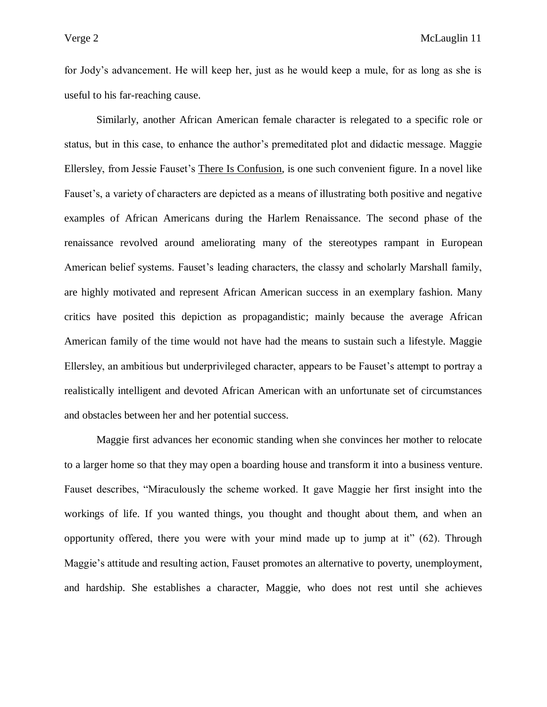for Jody's advancement. He will keep her, just as he would keep a mule, for as long as she is useful to his far-reaching cause.

Similarly, another African American female character is relegated to a specific role or status, but in this case, to enhance the author's premeditated plot and didactic message. Maggie Ellersley, from Jessie Fauset's There Is Confusion, is one such convenient figure. In a novel like Fauset's, a variety of characters are depicted as a means of illustrating both positive and negative examples of African Americans during the Harlem Renaissance. The second phase of the renaissance revolved around ameliorating many of the stereotypes rampant in European American belief systems. Fauset's leading characters, the classy and scholarly Marshall family, are highly motivated and represent African American success in an exemplary fashion. Many critics have posited this depiction as propagandistic; mainly because the average African American family of the time would not have had the means to sustain such a lifestyle. Maggie Ellersley, an ambitious but underprivileged character, appears to be Fauset's attempt to portray a realistically intelligent and devoted African American with an unfortunate set of circumstances and obstacles between her and her potential success.

Maggie first advances her economic standing when she convinces her mother to relocate to a larger home so that they may open a boarding house and transform it into a business venture. Fauset describes, "Miraculously the scheme worked. It gave Maggie her first insight into the workings of life. If you wanted things, you thought and thought about them, and when an opportunity offered, there you were with your mind made up to jump at it" (62). Through Maggie's attitude and resulting action, Fauset promotes an alternative to poverty, unemployment, and hardship. She establishes a character, Maggie, who does not rest until she achieves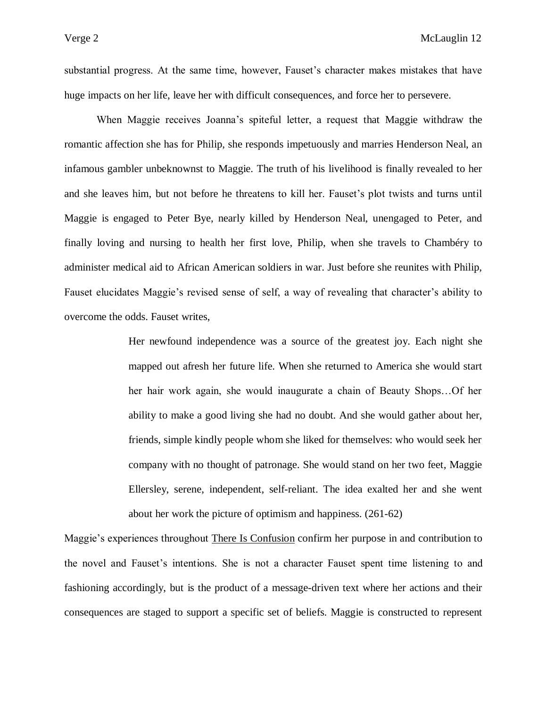substantial progress. At the same time, however, Fauset's character makes mistakes that have huge impacts on her life, leave her with difficult consequences, and force her to persevere.

When Maggie receives Joanna's spiteful letter, a request that Maggie withdraw the romantic affection she has for Philip, she responds impetuously and marries Henderson Neal, an infamous gambler unbeknownst to Maggie. The truth of his livelihood is finally revealed to her and she leaves him, but not before he threatens to kill her. Fauset's plot twists and turns until Maggie is engaged to Peter Bye, nearly killed by Henderson Neal, unengaged to Peter, and finally loving and nursing to health her first love, Philip, when she travels to Chambéry to administer medical aid to African American soldiers in war. Just before she reunites with Philip, Fauset elucidates Maggie's revised sense of self, a way of revealing that character's ability to overcome the odds. Fauset writes,

> Her newfound independence was a source of the greatest joy. Each night she mapped out afresh her future life. When she returned to America she would start her hair work again, she would inaugurate a chain of Beauty Shops…Of her ability to make a good living she had no doubt. And she would gather about her, friends, simple kindly people whom she liked for themselves: who would seek her company with no thought of patronage. She would stand on her two feet, Maggie Ellersley, serene, independent, self-reliant. The idea exalted her and she went about her work the picture of optimism and happiness. (261-62)

Maggie's experiences throughout There Is Confusion confirm her purpose in and contribution to the novel and Fauset's intentions. She is not a character Fauset spent time listening to and fashioning accordingly, but is the product of a message-driven text where her actions and their consequences are staged to support a specific set of beliefs. Maggie is constructed to represent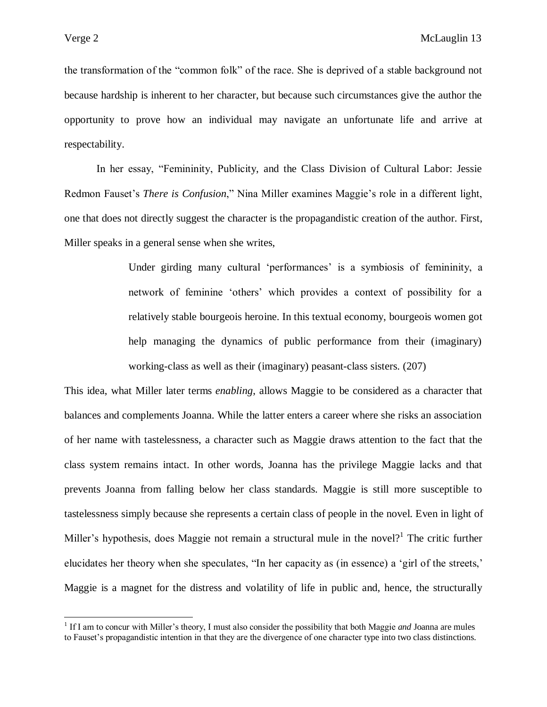the transformation of the "common folk" of the race. She is deprived of a stable background not because hardship is inherent to her character, but because such circumstances give the author the opportunity to prove how an individual may navigate an unfortunate life and arrive at respectability.

In her essay, "Femininity, Publicity, and the Class Division of Cultural Labor: Jessie Redmon Fauset's *There is Confusion*," Nina Miller examines Maggie's role in a different light, one that does not directly suggest the character is the propagandistic creation of the author. First, Miller speaks in a general sense when she writes,

> Under girding many cultural 'performances' is a symbiosis of femininity, a network of feminine 'others' which provides a context of possibility for a relatively stable bourgeois heroine. In this textual economy, bourgeois women got help managing the dynamics of public performance from their (imaginary) working-class as well as their (imaginary) peasant-class sisters. (207)

This idea, what Miller later terms *enabling*, allows Maggie to be considered as a character that balances and complements Joanna. While the latter enters a career where she risks an association of her name with tastelessness, a character such as Maggie draws attention to the fact that the class system remains intact. In other words, Joanna has the privilege Maggie lacks and that prevents Joanna from falling below her class standards. Maggie is still more susceptible to tastelessness simply because she represents a certain class of people in the novel. Even in light of Miller's hypothesis, does Maggie not remain a structural mule in the novel?<sup>1</sup> The critic further elucidates her theory when she speculates, "In her capacity as (in essence) a 'girl of the streets,' Maggie is a magnet for the distress and volatility of life in public and, hence, the structurally

<sup>&</sup>lt;sup>1</sup> If I am to concur with Miller's theory, I must also consider the possibility that both Maggie *and* Joanna are mules to Fauset's propagandistic intention in that they are the divergence of one character type into two class distinctions.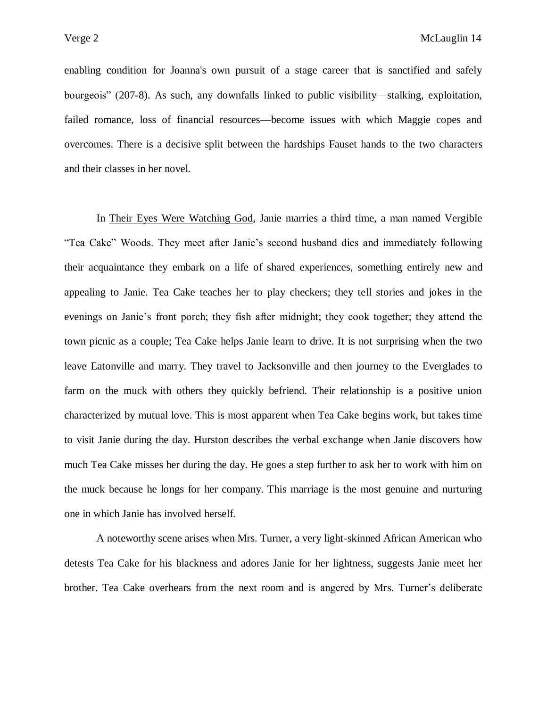enabling condition for Joanna's own pursuit of a stage career that is sanctified and safely bourgeois" (207-8). As such, any downfalls linked to public visibility—stalking, exploitation, failed romance, loss of financial resources—become issues with which Maggie copes and overcomes. There is a decisive split between the hardships Fauset hands to the two characters and their classes in her novel.

In Their Eyes Were Watching God, Janie marries a third time, a man named Vergible "Tea Cake" Woods. They meet after Janie's second husband dies and immediately following their acquaintance they embark on a life of shared experiences, something entirely new and appealing to Janie. Tea Cake teaches her to play checkers; they tell stories and jokes in the evenings on Janie's front porch; they fish after midnight; they cook together; they attend the town picnic as a couple; Tea Cake helps Janie learn to drive. It is not surprising when the two leave Eatonville and marry. They travel to Jacksonville and then journey to the Everglades to farm on the muck with others they quickly befriend. Their relationship is a positive union characterized by mutual love. This is most apparent when Tea Cake begins work, but takes time to visit Janie during the day. Hurston describes the verbal exchange when Janie discovers how much Tea Cake misses her during the day. He goes a step further to ask her to work with him on the muck because he longs for her company. This marriage is the most genuine and nurturing one in which Janie has involved herself.

A noteworthy scene arises when Mrs. Turner, a very light-skinned African American who detests Tea Cake for his blackness and adores Janie for her lightness, suggests Janie meet her brother. Tea Cake overhears from the next room and is angered by Mrs. Turner's deliberate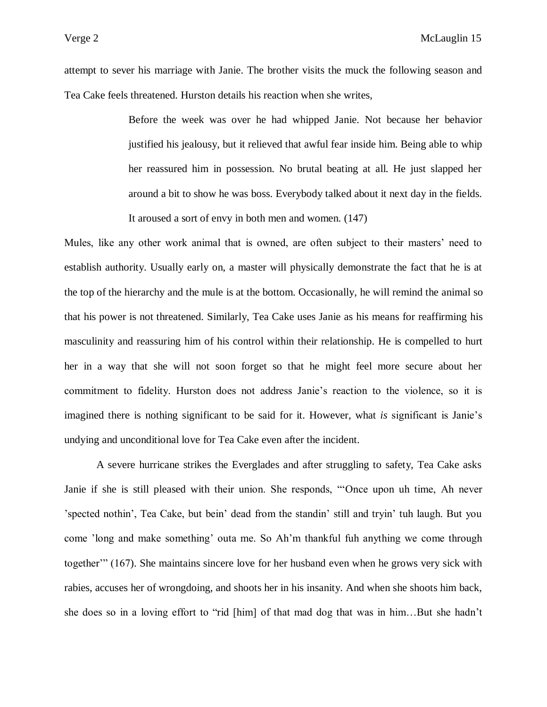attempt to sever his marriage with Janie. The brother visits the muck the following season and Tea Cake feels threatened. Hurston details his reaction when she writes,

> Before the week was over he had whipped Janie. Not because her behavior justified his jealousy, but it relieved that awful fear inside him. Being able to whip her reassured him in possession. No brutal beating at all. He just slapped her around a bit to show he was boss. Everybody talked about it next day in the fields. It aroused a sort of envy in both men and women. (147)

Mules, like any other work animal that is owned, are often subject to their masters' need to establish authority. Usually early on, a master will physically demonstrate the fact that he is at the top of the hierarchy and the mule is at the bottom. Occasionally, he will remind the animal so that his power is not threatened. Similarly, Tea Cake uses Janie as his means for reaffirming his masculinity and reassuring him of his control within their relationship. He is compelled to hurt her in a way that she will not soon forget so that he might feel more secure about her commitment to fidelity. Hurston does not address Janie's reaction to the violence, so it is imagined there is nothing significant to be said for it. However, what *is* significant is Janie's undying and unconditional love for Tea Cake even after the incident.

A severe hurricane strikes the Everglades and after struggling to safety, Tea Cake asks Janie if she is still pleased with their union. She responds, "'Once upon uh time, Ah never 'spected nothin', Tea Cake, but bein' dead from the standin' still and tryin' tuh laugh. But you come 'long and make something' outa me. So Ah'm thankful fuh anything we come through together'" (167). She maintains sincere love for her husband even when he grows very sick with rabies, accuses her of wrongdoing, and shoots her in his insanity. And when she shoots him back, she does so in a loving effort to "rid [him] of that mad dog that was in him…But she hadn't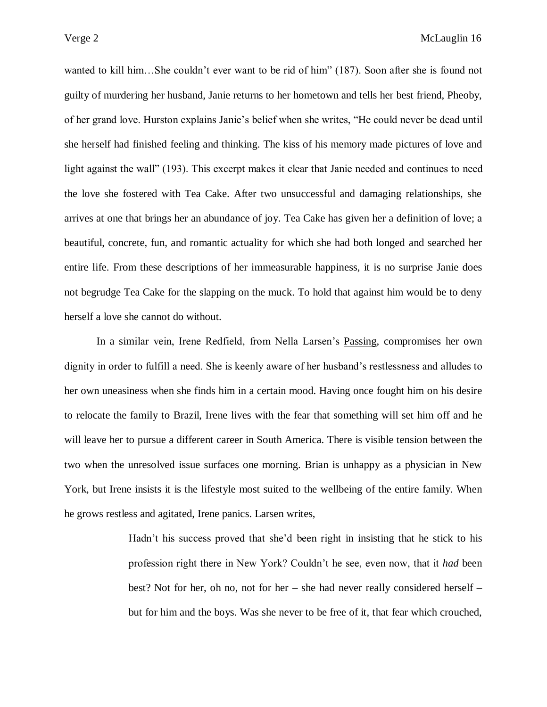wanted to kill him…She couldn't ever want to be rid of him" (187). Soon after she is found not guilty of murdering her husband, Janie returns to her hometown and tells her best friend, Pheoby, of her grand love. Hurston explains Janie's belief when she writes, "He could never be dead until she herself had finished feeling and thinking. The kiss of his memory made pictures of love and light against the wall" (193). This excerpt makes it clear that Janie needed and continues to need the love she fostered with Tea Cake. After two unsuccessful and damaging relationships, she arrives at one that brings her an abundance of joy. Tea Cake has given her a definition of love; a beautiful, concrete, fun, and romantic actuality for which she had both longed and searched her entire life. From these descriptions of her immeasurable happiness, it is no surprise Janie does not begrudge Tea Cake for the slapping on the muck. To hold that against him would be to deny herself a love she cannot do without.

In a similar vein, Irene Redfield, from Nella Larsen's Passing, compromises her own dignity in order to fulfill a need. She is keenly aware of her husband's restlessness and alludes to her own uneasiness when she finds him in a certain mood. Having once fought him on his desire to relocate the family to Brazil, Irene lives with the fear that something will set him off and he will leave her to pursue a different career in South America. There is visible tension between the two when the unresolved issue surfaces one morning. Brian is unhappy as a physician in New York, but Irene insists it is the lifestyle most suited to the wellbeing of the entire family. When he grows restless and agitated, Irene panics. Larsen writes,

> Hadn't his success proved that she'd been right in insisting that he stick to his profession right there in New York? Couldn't he see, even now, that it *had* been best? Not for her, oh no, not for her – she had never really considered herself – but for him and the boys. Was she never to be free of it, that fear which crouched,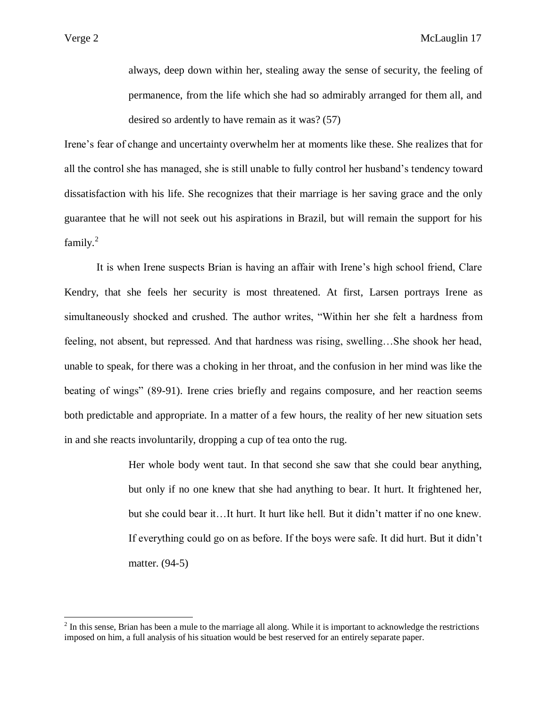always, deep down within her, stealing away the sense of security, the feeling of permanence, from the life which she had so admirably arranged for them all, and desired so ardently to have remain as it was? (57)

Irene's fear of change and uncertainty overwhelm her at moments like these. She realizes that for all the control she has managed, she is still unable to fully control her husband's tendency toward dissatisfaction with his life. She recognizes that their marriage is her saving grace and the only guarantee that he will not seek out his aspirations in Brazil, but will remain the support for his  $family.<sup>2</sup>$ 

It is when Irene suspects Brian is having an affair with Irene's high school friend, Clare Kendry, that she feels her security is most threatened. At first, Larsen portrays Irene as simultaneously shocked and crushed. The author writes, "Within her she felt a hardness from feeling, not absent, but repressed. And that hardness was rising, swelling…She shook her head, unable to speak, for there was a choking in her throat, and the confusion in her mind was like the beating of wings" (89-91). Irene cries briefly and regains composure, and her reaction seems both predictable and appropriate. In a matter of a few hours, the reality of her new situation sets in and she reacts involuntarily, dropping a cup of tea onto the rug.

> Her whole body went taut. In that second she saw that she could bear anything, but only if no one knew that she had anything to bear. It hurt. It frightened her, but she could bear it…It hurt. It hurt like hell. But it didn't matter if no one knew. If everything could go on as before. If the boys were safe. It did hurt. But it didn't matter. (94-5)

 $2<sup>2</sup>$  In this sense, Brian has been a mule to the marriage all along. While it is important to acknowledge the restrictions imposed on him, a full analysis of his situation would be best reserved for an entirely separate paper.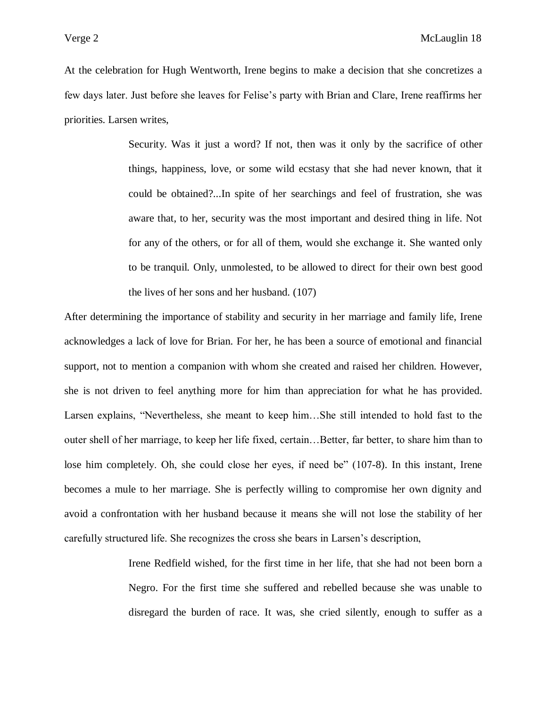At the celebration for Hugh Wentworth, Irene begins to make a decision that she concretizes a few days later. Just before she leaves for Felise's party with Brian and Clare, Irene reaffirms her priorities. Larsen writes,

> Security. Was it just a word? If not, then was it only by the sacrifice of other things, happiness, love, or some wild ecstasy that she had never known, that it could be obtained?...In spite of her searchings and feel of frustration, she was aware that, to her, security was the most important and desired thing in life. Not for any of the others, or for all of them, would she exchange it. She wanted only to be tranquil. Only, unmolested, to be allowed to direct for their own best good the lives of her sons and her husband. (107)

After determining the importance of stability and security in her marriage and family life, Irene acknowledges a lack of love for Brian. For her, he has been a source of emotional and financial support, not to mention a companion with whom she created and raised her children. However, she is not driven to feel anything more for him than appreciation for what he has provided. Larsen explains, "Nevertheless, she meant to keep him…She still intended to hold fast to the outer shell of her marriage, to keep her life fixed, certain…Better, far better, to share him than to lose him completely. Oh, she could close her eyes, if need be" (107-8). In this instant, Irene becomes a mule to her marriage. She is perfectly willing to compromise her own dignity and avoid a confrontation with her husband because it means she will not lose the stability of her carefully structured life. She recognizes the cross she bears in Larsen's description,

> Irene Redfield wished, for the first time in her life, that she had not been born a Negro. For the first time she suffered and rebelled because she was unable to disregard the burden of race. It was, she cried silently, enough to suffer as a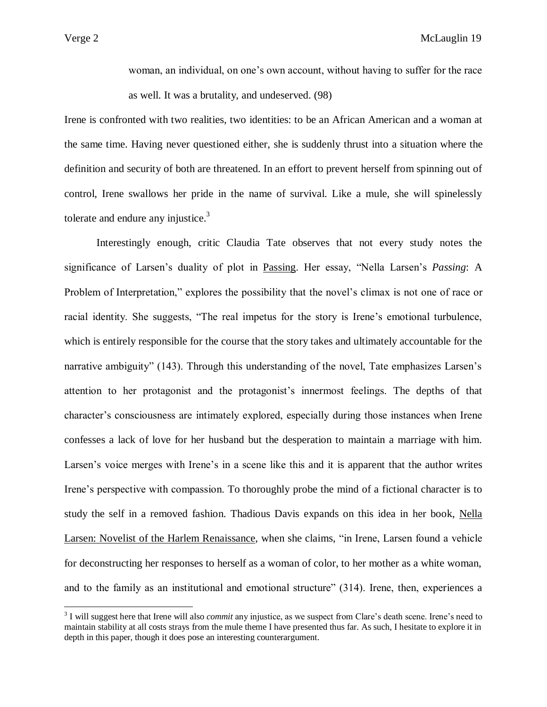$\overline{a}$ 

woman, an individual, on one's own account, without having to suffer for the race as well. It was a brutality, and undeserved. (98)

Irene is confronted with two realities, two identities: to be an African American and a woman at the same time. Having never questioned either, she is suddenly thrust into a situation where the definition and security of both are threatened. In an effort to prevent herself from spinning out of control, Irene swallows her pride in the name of survival. Like a mule, she will spinelessly tolerate and endure any injustice. $3$ 

Interestingly enough, critic Claudia Tate observes that not every study notes the significance of Larsen's duality of plot in Passing. Her essay, "Nella Larsen's *Passing*: A Problem of Interpretation," explores the possibility that the novel's climax is not one of race or racial identity. She suggests, "The real impetus for the story is Irene's emotional turbulence, which is entirely responsible for the course that the story takes and ultimately accountable for the narrative ambiguity" (143). Through this understanding of the novel, Tate emphasizes Larsen's attention to her protagonist and the protagonist's innermost feelings. The depths of that character's consciousness are intimately explored, especially during those instances when Irene confesses a lack of love for her husband but the desperation to maintain a marriage with him. Larsen's voice merges with Irene's in a scene like this and it is apparent that the author writes Irene's perspective with compassion. To thoroughly probe the mind of a fictional character is to study the self in a removed fashion. Thadious Davis expands on this idea in her book, Nella Larsen: Novelist of the Harlem Renaissance, when she claims, "in Irene, Larsen found a vehicle for deconstructing her responses to herself as a woman of color, to her mother as a white woman, and to the family as an institutional and emotional structure" (314). Irene, then, experiences a

<sup>&</sup>lt;sup>3</sup> I will suggest here that Irene will also *commit* any injustice, as we suspect from Clare's death scene. Irene's need to maintain stability at all costs strays from the mule theme I have presented thus far. As such, I hesitate to explore it in depth in this paper, though it does pose an interesting counterargument.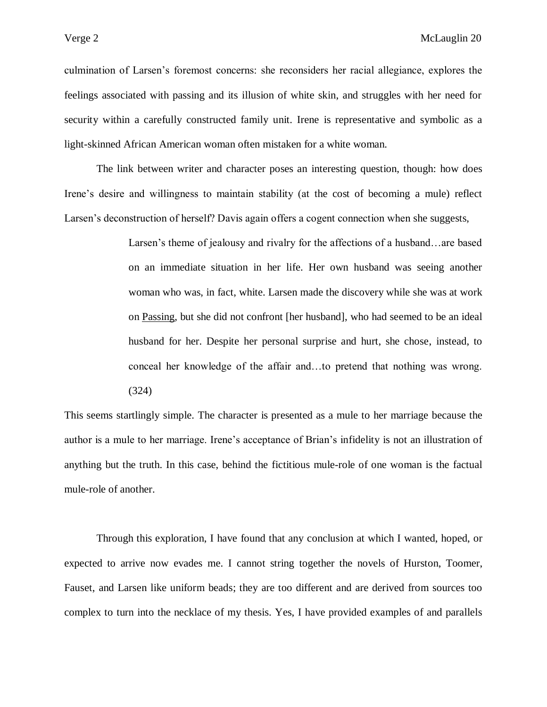culmination of Larsen's foremost concerns: she reconsiders her racial allegiance, explores the feelings associated with passing and its illusion of white skin, and struggles with her need for security within a carefully constructed family unit. Irene is representative and symbolic as a light-skinned African American woman often mistaken for a white woman.

The link between writer and character poses an interesting question, though: how does Irene's desire and willingness to maintain stability (at the cost of becoming a mule) reflect Larsen's deconstruction of herself? Davis again offers a cogent connection when she suggests,

> Larsen's theme of jealousy and rivalry for the affections of a husband…are based on an immediate situation in her life. Her own husband was seeing another woman who was, in fact, white. Larsen made the discovery while she was at work on Passing, but she did not confront [her husband], who had seemed to be an ideal husband for her. Despite her personal surprise and hurt, she chose, instead, to conceal her knowledge of the affair and…to pretend that nothing was wrong. (324)

This seems startlingly simple. The character is presented as a mule to her marriage because the author is a mule to her marriage. Irene's acceptance of Brian's infidelity is not an illustration of anything but the truth. In this case, behind the fictitious mule-role of one woman is the factual mule-role of another.

Through this exploration, I have found that any conclusion at which I wanted, hoped, or expected to arrive now evades me. I cannot string together the novels of Hurston, Toomer, Fauset, and Larsen like uniform beads; they are too different and are derived from sources too complex to turn into the necklace of my thesis. Yes, I have provided examples of and parallels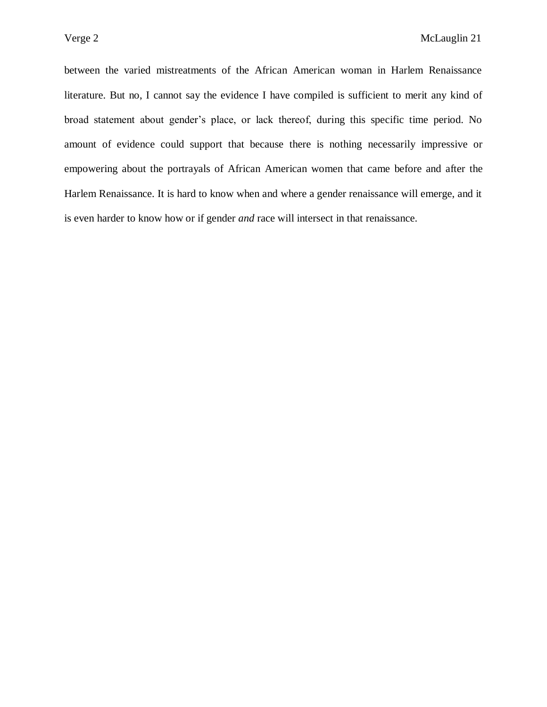between the varied mistreatments of the African American woman in Harlem Renaissance literature. But no, I cannot say the evidence I have compiled is sufficient to merit any kind of broad statement about gender's place, or lack thereof, during this specific time period. No amount of evidence could support that because there is nothing necessarily impressive or empowering about the portrayals of African American women that came before and after the Harlem Renaissance. It is hard to know when and where a gender renaissance will emerge, and it is even harder to know how or if gender *and* race will intersect in that renaissance.